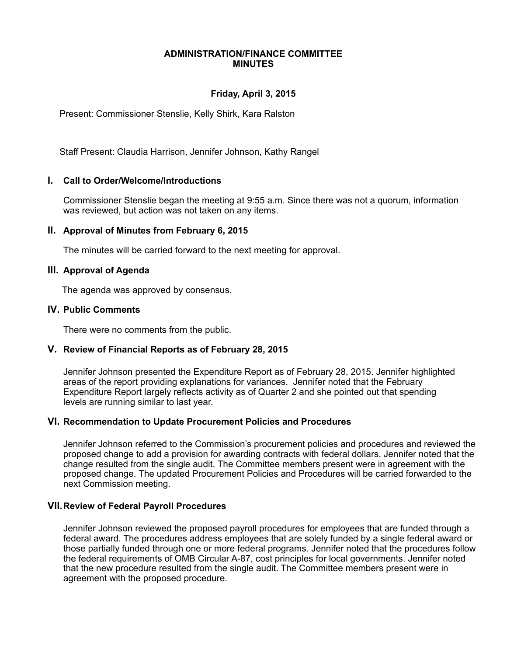### **ADMINISTRATION/FINANCE COMMITTEE MINUTES**

# **Friday, April 3, 2015**

Present: Commissioner Stenslie, Kelly Shirk, Kara Ralston

Staff Present: Claudia Harrison, Jennifer Johnson, Kathy Rangel

### **I. Call to Order/Welcome/Introductions**

Commissioner Stenslie began the meeting at 9:55 a.m. Since there was not a quorum, information was reviewed, but action was not taken on any items.

### **II. Approval of Minutes from February 6, 2015**

The minutes will be carried forward to the next meeting for approval.

### **III. Approval of Agenda**

The agenda was approved by consensus.

### **IV. Public Comments**

There were no comments from the public.

## **V. Review of Financial Reports as of February 28, 2015**

Jennifer Johnson presented the Expenditure Report as of February 28, 2015. Jennifer highlighted areas of the report providing explanations for variances. Jennifer noted that the February Expenditure Report largely reflects activity as of Quarter 2 and she pointed out that spending levels are running similar to last year.

## **VI. Recommendation to Update Procurement Policies and Procedures**

Jennifer Johnson referred to the Commission's procurement policies and procedures and reviewed the proposed change to add a provision for awarding contracts with federal dollars. Jennifer noted that the change resulted from the single audit. The Committee members present were in agreement with the proposed change. The updated Procurement Policies and Procedures will be carried forwarded to the next Commission meeting.

#### **VII.Review of Federal Payroll Procedures**

Jennifer Johnson reviewed the proposed payroll procedures for employees that are funded through a federal award. The procedures address employees that are solely funded by a single federal award or those partially funded through one or more federal programs. Jennifer noted that the procedures follow the federal requirements of OMB Circular A-87, cost principles for local governments. Jennifer noted that the new procedure resulted from the single audit. The Committee members present were in agreement with the proposed procedure.